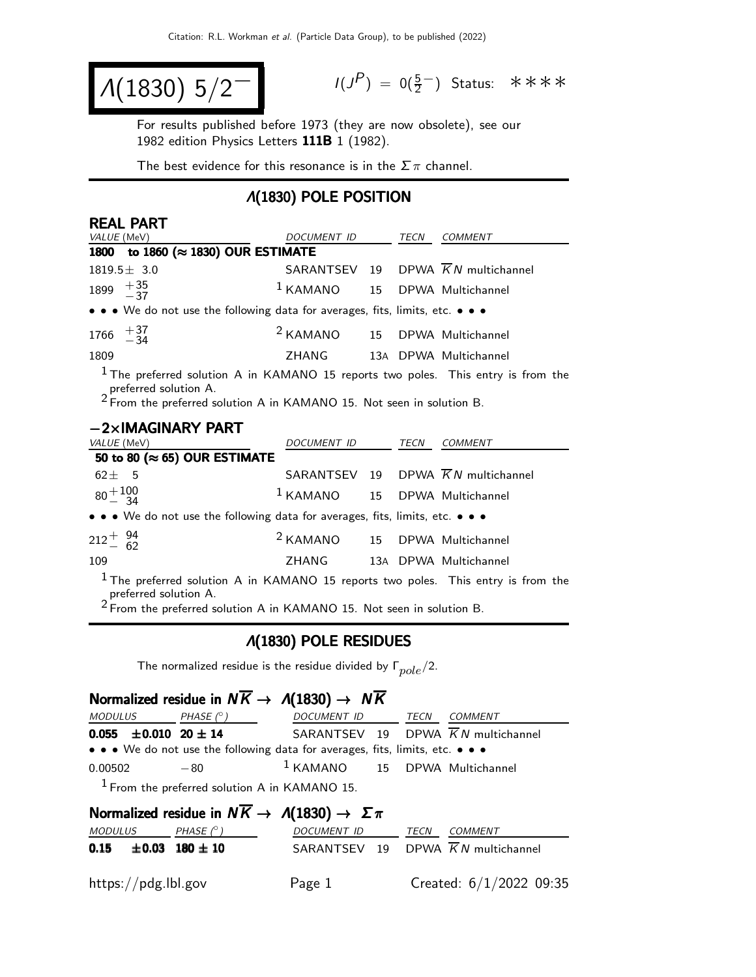$$
A(1830) 5/2^-
$$

 $(P) = 0(\frac{5}{2}^-)$  Status: ∗∗∗∗

For results published before 1973 (they are now obsolete), see our 1982 edition Physics Letters 111B 1 (1982).

The best evidence for this resonance is in the  $\Sigma \pi$  channel.

#### Λ(1830) POLE POSITION

| <b>REAL PART</b>                                                                                                      |                                          |      |                                                |
|-----------------------------------------------------------------------------------------------------------------------|------------------------------------------|------|------------------------------------------------|
| VALUE (MeV)                                                                                                           | DOCUMENT ID                              | TECN | COMMENT                                        |
| 1800 to 1860 (≈ 1830) OUR ESTIMATE                                                                                    |                                          |      |                                                |
| $1819.5 \pm 3.0$                                                                                                      |                                          |      | SARANTSEV 19 DPWA $\overline{K}N$ multichannel |
| 1899 $+35$<br>-37                                                                                                     | <sup>1</sup> KAMANO 15 DPWA Multichannel |      |                                                |
| • • • We do not use the following data for averages, fits, limits, etc. • • •                                         |                                          |      |                                                |
| $1766 \quad +37 \atop -34$                                                                                            | <sup>2</sup> KAMANO 15 DPWA Multichannel |      |                                                |
| 1809                                                                                                                  | ZHANG                                    |      | 13A DPWA Multichannel                          |
| <sup>1</sup> The preferred solution A in KAMANO 15 reports two poles. This entry is from the<br>preferred solution A. |                                          |      |                                                |

<sup>2</sup> From the preferred solution A in KAMANO 15. Not seen in solution B.

| $-2\times$ IMAGINARY PART                                                                                    |                                          |      |                                                |
|--------------------------------------------------------------------------------------------------------------|------------------------------------------|------|------------------------------------------------|
| VALUE (MeV)                                                                                                  | DOCUMENT ID                              | TECN | COMMENT                                        |
| 50 to 80 ( $\approx$ 65) OUR ESTIMATE                                                                        |                                          |      |                                                |
| $62 + 5$                                                                                                     |                                          |      | SARANTSEV 19 DPWA $\overline{K}N$ multichannel |
| $80^{+100}_{-34}$                                                                                            | <sup>1</sup> KAMANO 15 DPWA Multichannel |      |                                                |
| • • • We do not use the following data for averages, fits, limits, etc. • • •                                |                                          |      |                                                |
| $212^{+}_{-}$ $\frac{94}{62}$                                                                                | <sup>2</sup> KAMANO 15 DPWA Multichannel |      |                                                |
| 109                                                                                                          | ZHANG                                    |      | 13A DPWA Multichannel                          |
| $1$ The preferred solution A in KAMANO 15 reports two poles. This entry is from the<br>preferred solution A. |                                          |      |                                                |

2 From the preferred solution A in KAMANO 15. Not seen in solution B.

#### Λ(1830) POLE RESIDUES

The normalized residue is the residue divided by  $\Gamma_{pole}/2$ .

### Normalized residue in  $N\overline{K}\rightarrow {~\Lambda}(1830)\rightarrow~N\overline{K}$

| <i>MODULUS</i>                    | PHASE $(^\circ)$                                                              | DOCUMENT ID                       | TECN | <i>COMMENT</i>                                 |
|-----------------------------------|-------------------------------------------------------------------------------|-----------------------------------|------|------------------------------------------------|
| $0.055 \pm 0.010 \cdot 20 \pm 14$ |                                                                               |                                   |      | SARANTSEV 19 DPWA $\overline{K}N$ multichannel |
|                                   | • • • We do not use the following data for averages, fits, limits, etc. • • • |                                   |      |                                                |
| 0.00502                           | $-80$                                                                         | $1$ KAMANO $15$ DPWA Multichannel |      |                                                |
|                                   |                                                                               |                                   |      |                                                |

1 From the preferred solution A in KAMANO 15.

| Normalized residue in $N\overline{K} \rightarrow \Lambda(1830) \rightarrow \Sigma \pi$ |            |                                                |      |                           |
|----------------------------------------------------------------------------------------|------------|------------------------------------------------|------|---------------------------|
| <i>MODULUS</i>                                                                         | PHASE (° ) | DOCUMENT ID                                    | TECN | <i>COMMENT</i>            |
| $0.15 \pm 0.03 \cdot 180 \pm 10$                                                       |            | SARANTSEV 19 DPWA $\overline{K}N$ multichannel |      |                           |
| https://pdg.lbl.gov                                                                    |            | Page 1                                         |      | Created: $6/1/2022$ 09:35 |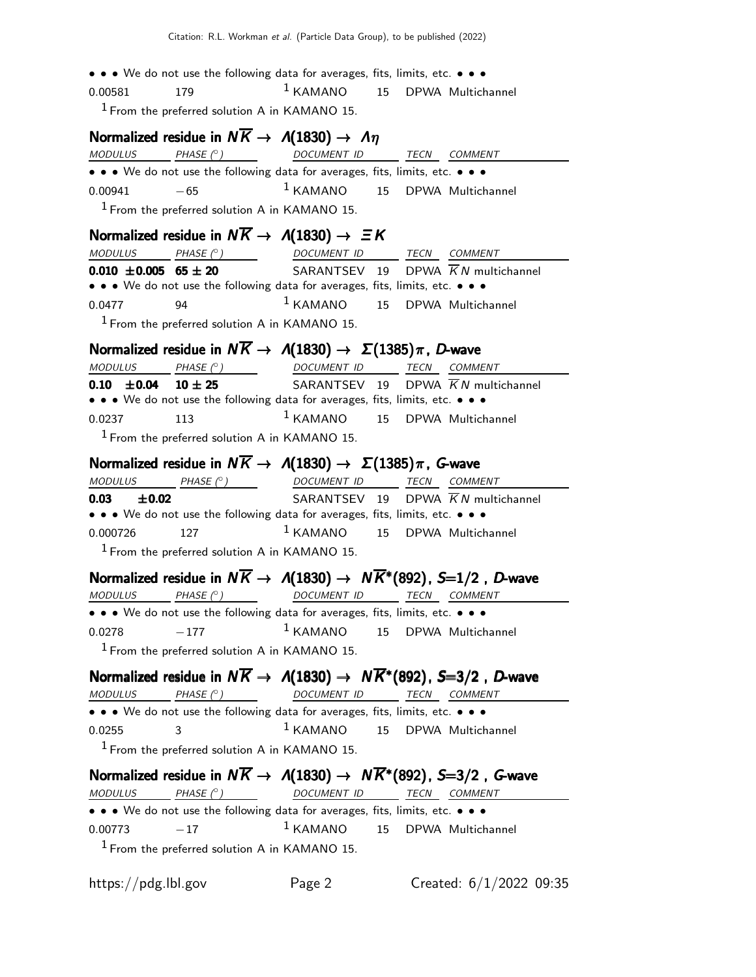• • • We do not use the following data for averages, fits, limits, etc. • • •  $0.00581$  179  $1 KAMANO$  15 DPWA Multichannel  $<sup>1</sup>$  From the preferred solution A in KAMANO 15.</sup> Normalized residue in  $N\overline{K} \rightarrow A(1830) \rightarrow A\eta$ MODULUS PHASE (°) DOCUMENT ID TECN COMMENT • • • We do not use the following data for averages, fits, limits, etc. • • •  $0.00941$   $-65$  1 KAMANO 15 DPWA Multichannel  $1$  From the preferred solution A in KAMANO 15. Normalized residue in  $N\overline{K} \rightarrow A(1830) \rightarrow \Xi K$ MODULUS PHASE (°) \_\_ DOCUMENT ID TECN COMMENT **0.010**  $\pm$ **0.005 65**  $\pm$  **20** SARANTSEV 19 DPWA  $\overline{K}N$  multichannel • • • We do not use the following data for averages, fits, limits, etc. • • • 0.0477 94 <sup>1</sup> KAMANO 15 DPWA Multichannel  $<sup>1</sup>$  From the preferred solution A in KAMANO 15.</sup> Normalized residue in  $N\overline{K} \rightarrow A(1830) \rightarrow \Sigma(1385)\pi$ , D-wave  $MODULUS$  PHASE  $(°)$  DOCUMENT ID TECN COMMENT **0.10**  $\pm$ **0.04 10**  $\pm$  **25** SARANTSEV 19 DPWA  $\overline{K}N$  multichannel • • • We do not use the following data for averages, fits, limits, etc. • • • 0.0237 113 <sup>1</sup> KAMANO 15 DPWA Multichannel  $<sup>1</sup>$  From the preferred solution A in KAMANO 15.</sup> **Normalized residue in**  $N\overline{K} \rightarrow A(1830) \rightarrow \Sigma(1385)\pi$ **, G-wave**<br>MODULUS PHASE (°) DOCUMENT ID TECN COMMI TECN COMMENT **0.03**  $\pm$ **0.02** SARANTSEV 19 DPWA  $\overline{K}N$  multichannel • • • We do not use the following data for averages, fits, limits, etc. • • •  $0.000726$  127  $1 KAMANO$  15 DPWA Multichannel  $1$  From the preferred solution A in KAMANO 15. Normalized residue in  $N\overline{K} \to A(1830) \to N\overline{K}^*(892)$ , S=1/2, D-wave MODULUS PHASE (°) DOCUMENT ID TECN COMMENT • • • We do not use the following data for averages, fits, limits, etc. • • •  $0.0278$   $-177$  1 KAMANO 15 DPWA Multichannel  $<sup>1</sup>$  From the preferred solution A in KAMANO 15.</sup> Normalized residue in  $N\overline{K} \to A(1830) \to N\overline{K}^*(892)$ , S=3/2, D-wave  $MODULUS$  PHASE  $(°)$  DOCUMENT ID TECN COMMENT • • • We do not use the following data for averages, fits, limits, etc. • • • 0.0255 3 1 KAMANO 15 DPWA Multichannel  $<sup>1</sup>$  From the preferred solution A in KAMANO 15.</sup> Normalized residue in  $N\overline{K} \to A(1830) \to N\overline{K}^*(892)$ , S=3/2, G-wave  $MODULUS$  PHASE  $(°)$ ) DOCUMENT ID TECN COMMENT • • • We do not use the following data for averages, fits, limits, etc. • • •  $0.00773$   $-17$  1 KAMANO 15 DPWA Multichannel  $<sup>1</sup>$  From the preferred solution A in KAMANO 15.</sup>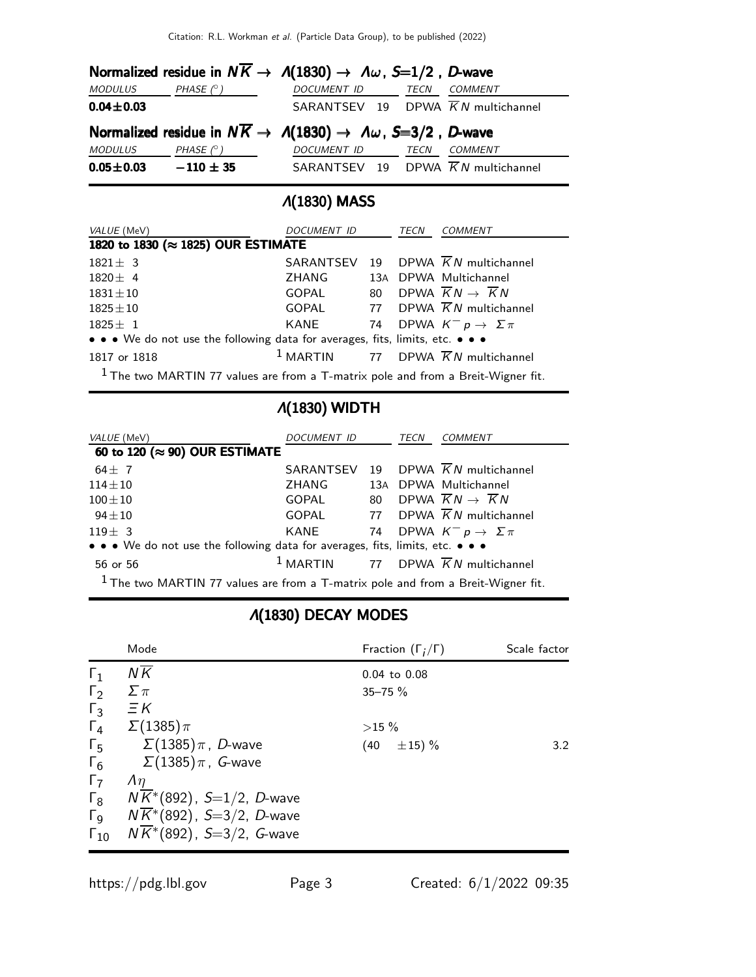|                 |                  | Normalized residue in $N\overline{K} \to A(1830) \to \Lambda \omega$ , S=1/2, D-wave |      |         |
|-----------------|------------------|--------------------------------------------------------------------------------------|------|---------|
| MODULUS         | PHASE $(^\circ)$ | DOCUMENT ID                                                                          | TECN | COMMENT |
| $0.04 \pm 0.03$ |                  | SARANTSEV 19 DPWA $\overline{K}N$ multichannel                                       |      |         |
|                 |                  | Normalized residue in $N\overline{K} \to A(1830) \to \Lambda \omega$ , S=3/2, D-wave |      |         |
| MODULUS         |                  |                                                                                      |      |         |
|                 | PHASE $(^\circ)$ | DOCUMENT ID                                                                          | TECN | COMMENT |

## Λ(1830) MASS

| <i>VALUE</i> (MeV)                                                                 | DOCUMENT ID                                              |  | TECN<br>COMMENT                                   |  |  |
|------------------------------------------------------------------------------------|----------------------------------------------------------|--|---------------------------------------------------|--|--|
| 1820 to 1830 (≈ 1825) OUR ESTIMATE                                                 |                                                          |  |                                                   |  |  |
| $1821 \pm 3$                                                                       |                                                          |  | SARANTSEV 19 DPWA $\overline{K}N$ multichannel    |  |  |
| $1820 \pm 4$                                                                       | ZHANG                                                    |  | 13A DPWA Multichannel                             |  |  |
| $1831 \pm 10$                                                                      | GOPAL                                                    |  | 80 DPWA $\overline{K}N \rightarrow \overline{K}N$ |  |  |
| $1825 + 10$                                                                        |                                                          |  | GOPAL 77 DPWA $\overline{K}N$ multichannel        |  |  |
| $1825 \pm 1$                                                                       | KANE                                                     |  | 74 DPWA $K^- p \rightarrow \Sigma \pi$            |  |  |
| • • • We do not use the following data for averages, fits, limits, etc. • • •      |                                                          |  |                                                   |  |  |
| 1817 or 1818                                                                       | <sup>1</sup> MARTIN 77 DPWA $\overline{K}N$ multichannel |  |                                                   |  |  |
| $1$ The two MARTIN 77 values are from a T-matrix pole and from a Breit-Wigner fit. |                                                          |  |                                                   |  |  |

# Λ(1830) WIDTH

| VALUE (MeV)                                                                        | DOCUMENT ID |  | TECN | COMMENT                                                  |  |
|------------------------------------------------------------------------------------|-------------|--|------|----------------------------------------------------------|--|
| 60 to 120 ( $\approx$ 90) OUR ESTIMATE                                             |             |  |      |                                                          |  |
| 64 $\pm$ 7                                                                         |             |  |      | SARANTSEV 19 DPWA $\overline{K}N$ multichannel           |  |
| $114 \pm 10$                                                                       | ZHANG       |  |      | 13A DPWA Multichannel                                    |  |
| $100 \pm 10$                                                                       | GOPAL       |  |      | 80 DPWA $\overline{K}N \rightarrow \overline{K}N$        |  |
| $94\pm10$                                                                          |             |  |      | GOPAL 77 DPWA $\overline{K}N$ multichannel               |  |
| $119 \pm 3$                                                                        | KANE        |  |      | 74 DPWA $K^- p \rightarrow \Sigma \pi$                   |  |
| • • • We do not use the following data for averages, fits, limits, etc. • • •      |             |  |      |                                                          |  |
| 56 or 56                                                                           |             |  |      | <sup>1</sup> MARTIN 77 DPWA $\overline{K}N$ multichannel |  |
| $1$ The two MARTIN 77 values are from a T-matrix pole and from a Breit-Wigner fit. |             |  |      |                                                          |  |

# Λ(1830) DECAY MODES

|                       | Mode                                   | Fraction $(\Gamma_i/\Gamma)$ | Scale factor |
|-----------------------|----------------------------------------|------------------------------|--------------|
| $\Gamma_1$            | $N\overline{K}$                        | $0.04$ to $0.08$             |              |
| $\Gamma_2$            | $\Sigma \pi$                           | $35 - 75 \%$                 |              |
| $\Gamma_3$            | $\Xi K$                                |                              |              |
| $\Gamma_4$            | $\Sigma(1385)\pi$                      | $>15\%$                      |              |
| $\Gamma_5$            | $\Sigma(1385)\pi$ , D-wave             | $\pm 15) \%$<br>(40          | 3.2          |
| $\Gamma_6$            | $\Sigma(1385)\pi$ , $\,$ G-wave        |                              |              |
| $\Gamma_7$            | $\Lambda$ <sup><math>\eta</math></sup> |                              |              |
| $\Gamma_8$            | $N\overline{K}$ *(892), S=1/2, D-wave  |                              |              |
| $\Gamma$ <sub>9</sub> | $N\overline{K}^*(892)$ , S=3/2, D-wave |                              |              |
| $\Gamma_{10}$         | $N\overline{K}$ *(892), S=3/2, G-wave  |                              |              |
|                       |                                        |                              |              |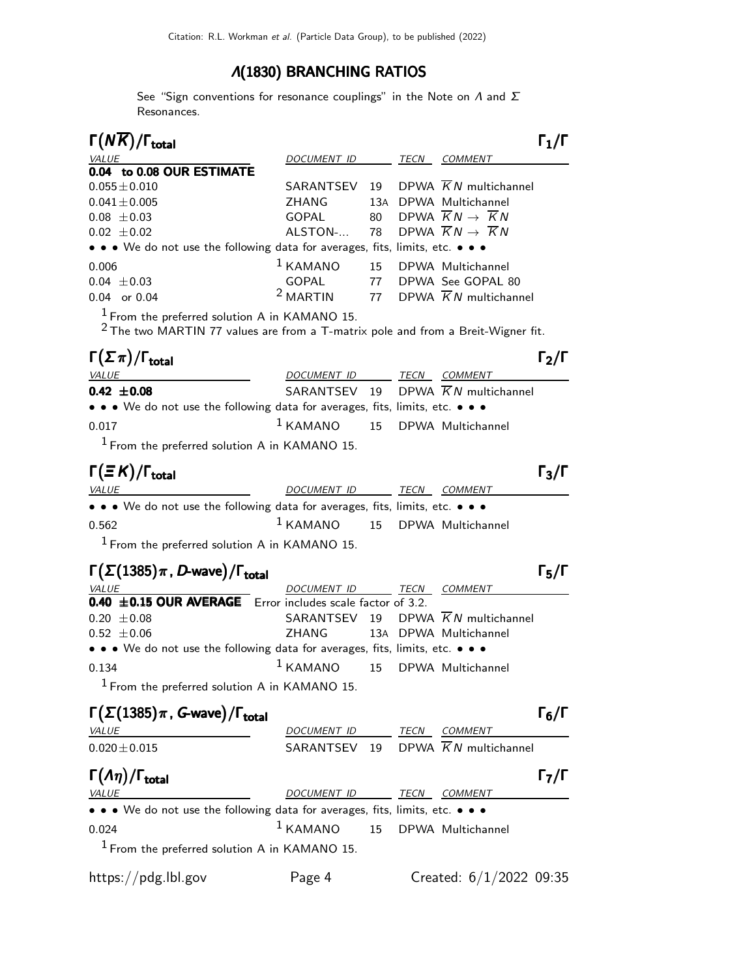### Λ(1830) BRANCHING RATIOS

See "Sign conventions for resonance couplings" in the Note on  $\Lambda$  and  $\Sigma$ Resonances.

| $\Gamma(N\overline{K})/\Gamma_{\rm total}$                                    |                    |    |      |                                                          |  |
|-------------------------------------------------------------------------------|--------------------|----|------|----------------------------------------------------------|--|
| VALUE                                                                         | <b>DOCUMENT ID</b> |    | TECN | COMMENT                                                  |  |
| 0.04 to 0.08 OUR ESTIMATE                                                     |                    |    |      |                                                          |  |
| $0.055 \pm 0.010$                                                             | SARANTSEV          |    |      | 19 DPWA $\overline{K}N$ multichannel                     |  |
| $0.041 \pm 0.005$                                                             | ZHANG              |    |      | 13A DPWA Multichannel                                    |  |
| $0.08 \pm 0.03$                                                               | GOPAL              |    |      | 80 DPWA $\overline{K}N \rightarrow \overline{K}N$        |  |
| $0.02 \pm 0.02$                                                               | ALSTON-            |    |      | 78 DPWA $\overline{K}N \rightarrow \overline{K}N$        |  |
| • • • We do not use the following data for averages, fits, limits, etc. • • • |                    |    |      |                                                          |  |
| 0.006                                                                         | $1$ KAMANO         |    |      | 15 DPWA Multichannel                                     |  |
| $0.04 \pm 0.03$                                                               | GOPAL              | 77 |      | DPWA See GOPAL 80                                        |  |
| $0.04$ or $0.04$                                                              |                    |    |      | <sup>2</sup> MARTIN 77 DPWA $\overline{K}N$ multichannel |  |
|                                                                               |                    |    |      |                                                          |  |

1 From the preferred solution A in KAMANO 15.

<sup>2</sup> The two MARTIN 77 values are from a T-matrix pole and from a Breit-Wigner fit.

| $\Gamma(\Sigma \pi)/\Gamma_{\rm total}$                                                                               |                                   |      | $\Gamma_2/\Gamma$                              |  |
|-----------------------------------------------------------------------------------------------------------------------|-----------------------------------|------|------------------------------------------------|--|
| <i>VALUE</i>                                                                                                          | DOCUMENT ID                       | TECN | <i>COMMENT</i>                                 |  |
| $0.42 \pm 0.08$                                                                                                       |                                   |      | SARANTSEV 19 DPWA $\overline{K}N$ multichannel |  |
| $\bullet \bullet \bullet$ We do not use the following data for averages, fits, limits, etc. $\bullet \bullet \bullet$ |                                   |      |                                                |  |
| 0.017                                                                                                                 | $1$ KAMANO $15$ DPWA Multichannel |      |                                                |  |
| $1$ From the preferred solution A in KAMANO 15.                                                                       |                                   |      |                                                |  |

1 From the preferred solution A in KAMANO 15.

| $\Gamma(\equiv K)/\Gamma_{\rm total}$                                         |                                   |      |                | $\Gamma_3/\Gamma$ |
|-------------------------------------------------------------------------------|-----------------------------------|------|----------------|-------------------|
| <i>VALUE</i>                                                                  | DOCUMENT ID                       | TECN | <i>COMMENT</i> |                   |
| • • • We do not use the following data for averages, fits, limits, etc. • • • |                                   |      |                |                   |
| 0.562                                                                         | $1$ KAMANO $15$ DPWA Multichannel |      |                |                   |
| $1$ From the preferred solution A in KAMANO 15.                               |                                   |      |                |                   |

## $\Gamma(\Sigma(1385)\pi$  , D-wave) / Γ<sub>total</sub> Γ<sub>5</sub>/Γ

| <i>VALUE</i>                                                                  | DOCUMENT ID TECN COMMENT          |  |                                                |  |
|-------------------------------------------------------------------------------|-----------------------------------|--|------------------------------------------------|--|
| $0.40 \pm 0.15$ OUR AVERAGE Error includes scale factor of 3.2.               |                                   |  |                                                |  |
| $0.20 \pm 0.08$                                                               |                                   |  | SARANTSEV 19 DPWA $\overline{K}N$ multichannel |  |
| $0.52 \pm 0.06$                                                               | ZHANG 13A DPWA Multichannel       |  |                                                |  |
| • • • We do not use the following data for averages, fits, limits, etc. • • • |                                   |  |                                                |  |
| 0.134                                                                         | $1$ KAMANO $15$ DPWA Multichannel |  |                                                |  |
| $1 -$<br>$\blacksquare$                                                       |                                   |  |                                                |  |

 $<sup>1</sup>$  From the preferred solution A in KAMANO 15.</sup>

| $\Gamma(\Sigma(1385)\pi, G$ -wave)/ $\Gamma_{\text{total}}$                   |                    |    |      |                                   | $\Gamma_6/\Gamma$ |
|-------------------------------------------------------------------------------|--------------------|----|------|-----------------------------------|-------------------|
| VALUE                                                                         | <b>DOCUMENT ID</b> |    | TECN | COMMENT                           |                   |
| $0.020 \pm 0.015$                                                             | SARANTSEV          | 19 |      | DPWA $\overline{K}N$ multichannel |                   |
| $\Gamma(\Lambda \eta)/\Gamma_{\rm total}$                                     |                    |    |      |                                   | $\Gamma_7/\Gamma$ |
| VALUE                                                                         | DOCUMENT ID        |    | TECN | COMMENT                           |                   |
| • • • We do not use the following data for averages, fits, limits, etc. • • • |                    |    |      |                                   |                   |
| 0.024                                                                         | $1$ KAMANO         |    |      | 15 DPWA Multichannel              |                   |
| $1$ From the preferred solution A in KAMANO 15.                               |                    |    |      |                                   |                   |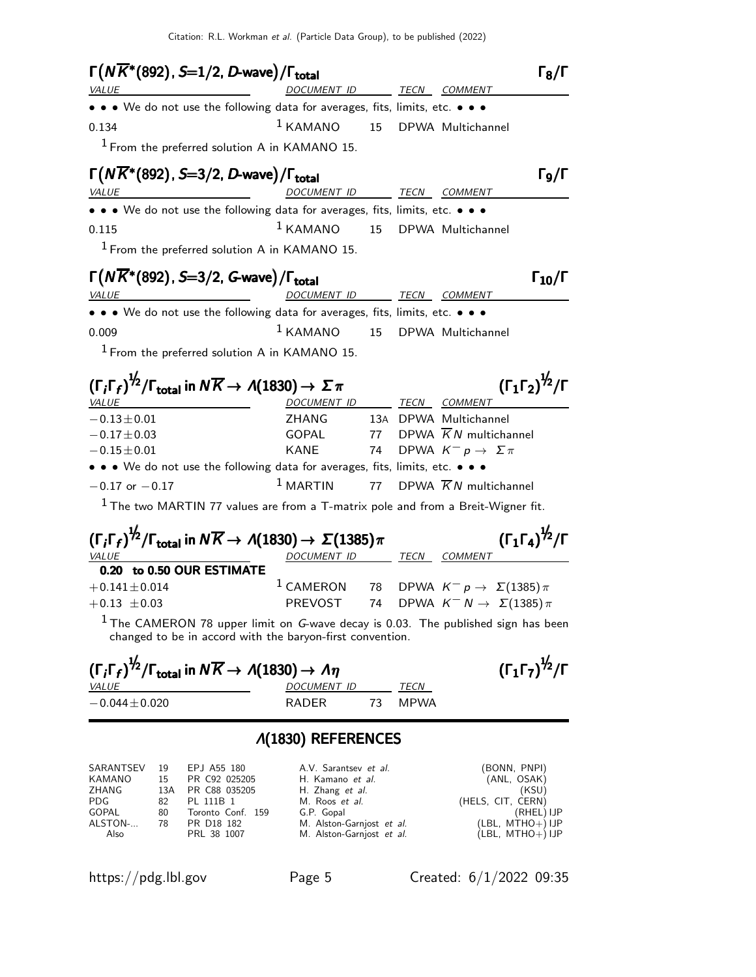| <i>VALUE</i>                                                      | $\Gamma(N\overline{K}^*(892), S=1/2, D$ -wave)/ $\Gamma_{\rm total}$<br>DOCUMENT ID TECN COMMENT                                                                 | $18/\Gamma$                                  |
|-------------------------------------------------------------------|------------------------------------------------------------------------------------------------------------------------------------------------------------------|----------------------------------------------|
|                                                                   | • • • We do not use the following data for averages, fits, limits, etc. • • •                                                                                    |                                              |
| 0.134                                                             | <sup>1</sup> KAMANO 15 DPWA Multichannel                                                                                                                         |                                              |
|                                                                   | <sup>1</sup> From the preferred solution A in KAMANO 15.                                                                                                         |                                              |
|                                                                   | $\Gamma(N\overline{K}^*(892), S=3/2, D$ -wave)/ $\Gamma_{\text{total}}$                                                                                          | Г9/Г                                         |
| <b>VALUE</b>                                                      | DOCUMENT ID TECN COMMENT                                                                                                                                         |                                              |
|                                                                   | • • • We do not use the following data for averages, fits, limits, etc. • • •                                                                                    |                                              |
| 0.115                                                             | $1$ KAMANO<br>15 DPWA Multichannel                                                                                                                               |                                              |
|                                                                   | $1$ From the preferred solution A in KAMANO 15.                                                                                                                  |                                              |
|                                                                   | $\Gamma(N\overline{K}^*(892)$ , S=3/2, G-wave)/ $\Gamma_{\text{total}}$                                                                                          | $\Gamma_{10}/\Gamma$                         |
| <u> 1989 - Johann Barnett, fransk politiker (</u><br><i>VALUE</i> | DOCUMENT ID TECN COMMENT                                                                                                                                         |                                              |
|                                                                   | • • • We do not use the following data for averages, fits, limits, etc. • • •                                                                                    |                                              |
| 0.009                                                             | <sup>1</sup> KAMANO 15 DPWA Multichannel                                                                                                                         |                                              |
|                                                                   |                                                                                                                                                                  |                                              |
|                                                                   | <sup>1</sup> From the preferred solution A in KAMANO 15.                                                                                                         |                                              |
|                                                                   |                                                                                                                                                                  |                                              |
| <b>VALUE</b>                                                      | $(\Gamma_i \Gamma_f)^{\frac{1}{2}} / \Gamma_{\text{total}}$ in $N \overline{K} \rightarrow A(1830) \rightarrow \Sigma \pi$<br>DOCUMENT ID<br><b>TECN COMMENT</b> | $(\Gamma_1 \Gamma_2)^{\frac{1}{2}} / \Gamma$ |
|                                                                   | ZHANG<br>13A DPWA Multichannel                                                                                                                                   |                                              |
| $-0.13 \pm 0.01$<br>$-0.17 \pm 0.03$                              | 77 DPWA $\overline{K}N$ multichannel<br>GOPAL                                                                                                                    |                                              |
| $-0.15 \pm 0.01$                                                  | <b>KANE</b><br>74 DPWA $K^- p \rightarrow \Sigma \pi$                                                                                                            |                                              |
|                                                                   | • • • We do not use the following data for averages, fits, limits, etc. • • •                                                                                    |                                              |

The two MARTIN 77 values are from a T-matrix pole and from a Breit-Wigner fit.

| $(\Gamma_i \Gamma_f)^{\frac{1}{2}} / \Gamma_{total}$ in $N \overline{K} \rightarrow A(1830) \rightarrow \Sigma(1385) \pi$ |                                                                   |  | $(\Gamma_1 \Gamma_4)^{\frac{1}{2}} / \Gamma$ |                |                                              |
|---------------------------------------------------------------------------------------------------------------------------|-------------------------------------------------------------------|--|----------------------------------------------|----------------|----------------------------------------------|
| <b>VALUE</b>                                                                                                              | DOCUMENT ID                                                       |  | TECN                                         | <i>COMMENT</i> |                                              |
| 0.20 to 0.50 OUR ESTIMATE                                                                                                 |                                                                   |  |                                              |                |                                              |
| $+0.141 \pm 0.014$                                                                                                        | <sup>1</sup> CAMERON 78 DPWA $K^- p \rightarrow \Sigma(1385) \pi$ |  |                                              |                |                                              |
| $+0.13 \pm 0.03$                                                                                                          | PREVOST                                                           |  |                                              |                | 74 DPWA $K^- N \rightarrow \Sigma(1385) \pi$ |
|                                                                                                                           |                                                                   |  |                                              |                |                                              |

 $1$  The CAMERON 78 upper limit on G-wave decay is 0.03. The published sign has been changed to be in accord with the baryon-first convention.

| $(\Gamma_i \Gamma_f)^{\frac{1}{2}} / \Gamma_{\text{total}}$ in $N \overline{K} \rightarrow A(1830) \rightarrow A \eta$ | $(\Gamma_1\Gamma_7)^{\frac{1}{2}}/\Gamma$ |         |  |
|------------------------------------------------------------------------------------------------------------------------|-------------------------------------------|---------|--|
| <i>VALUE</i>                                                                                                           | DOCUMENT ID                               | TECN    |  |
| $-0.044 \pm 0.020$                                                                                                     | RADER                                     | 73 MPWA |  |

#### Λ(1830) REFERENCES

| 19  |                   | A.V. Sarantsev et al.        | (BONN, PNPI)       |
|-----|-------------------|------------------------------|--------------------|
| 15  | PR C92 025205     | H. Kamano <i>et al.</i>      | (ANL, OSAK)        |
| 13A |                   | H. Zhang et al.              | (KSU)              |
| 82  | PL 111B 1         | M. Roos et al.               | (HELS, CIT, CERN)  |
| 80  | Toronto Conf. 159 | G.P. Gopal                   | (RHEL) IJP         |
| 78  | PR D18 182        | M. Alston-Garnjost et al.    | $(LBL, MTHO+)$ IJP |
|     | PRL 38 1007       | M. Alston-Garnjost et al.    | $(LBL, MTHO+) IJP$ |
|     |                   | EPJ A55 180<br>PR C88 035205 |                    |